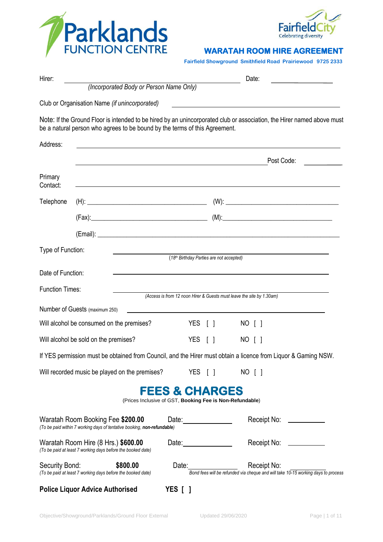



#### **WARATAH ROOM HIRE AGREEMENT**

**Fairfield Showground Smithfield Road Prairiewood 9725 2333** 

| Hirer:                                                    |                                                                                                                       |                                                                                       | Date:                                                                                                                  |
|-----------------------------------------------------------|-----------------------------------------------------------------------------------------------------------------------|---------------------------------------------------------------------------------------|------------------------------------------------------------------------------------------------------------------------|
|                                                           | (Incorporated Body or Person Name Only)                                                                               |                                                                                       |                                                                                                                        |
|                                                           | Club or Organisation Name (if unincorporated)                                                                         |                                                                                       |                                                                                                                        |
|                                                           | be a natural person who agrees to be bound by the terms of this Agreement.                                            |                                                                                       | Note: If the Ground Floor is intended to be hired by an unincorporated club or association, the Hirer named above must |
| Address:                                                  | <u> 1989 - Johann Stoff, deutscher Stoff, der Stoff, der Stoff, der Stoff, der Stoff, der Stoff, der Stoff, der S</u> |                                                                                       |                                                                                                                        |
|                                                           | <u> 1989 - Johann Stoff, amerikansk politiker (d. 1989)</u>                                                           |                                                                                       | Post Code:                                                                                                             |
| Primary<br>Contact:                                       |                                                                                                                       |                                                                                       | <u> 1989 - Johann Stoff, deutscher Stoff, der Stoff, der Stoff, der Stoff, der Stoff, der Stoff, der Stoff, der S</u>  |
| Telephone                                                 |                                                                                                                       |                                                                                       |                                                                                                                        |
|                                                           |                                                                                                                       |                                                                                       |                                                                                                                        |
|                                                           |                                                                                                                       |                                                                                       |                                                                                                                        |
| Type of Function:                                         |                                                                                                                       | (18 <sup>th</sup> Birthday Parties are not accepted)                                  |                                                                                                                        |
|                                                           |                                                                                                                       |                                                                                       |                                                                                                                        |
| Date of Function:                                         |                                                                                                                       |                                                                                       | <u> 1989 - Johann Stoff, amerikansk politiker (* 1908)</u>                                                             |
| <b>Function Times:</b>                                    |                                                                                                                       |                                                                                       | (Access is from 12 noon Hirer & Guests must leave the site by 1.30am)                                                  |
|                                                           | Number of Guests (maximum 250)                                                                                        |                                                                                       |                                                                                                                        |
| Will alcohol be consumed on the premises?                 |                                                                                                                       | YES [ ]                                                                               | NO [ ]                                                                                                                 |
| Will alcohol be sold on the premises?                     |                                                                                                                       | YES [ ]                                                                               | NO [ ]                                                                                                                 |
|                                                           |                                                                                                                       |                                                                                       | If YES permission must be obtained from Council, and the Hirer must obtain a licence from Liquor & Gaming NSW.         |
| YES [ ]<br>Will recorded music be played on the premises? |                                                                                                                       |                                                                                       | NO [ ]                                                                                                                 |
|                                                           |                                                                                                                       | <b>FEES &amp; CHARGES</b><br>(Prices Inclusive of GST, Booking Fee is Non-Refundable) |                                                                                                                        |
|                                                           | Waratah Room Booking Fee \$200.00<br>(To be paid within 7 working days of tentative booking, non-refundable)          | Date: _______________                                                                 | Receipt No:<br>$\mathcal{L}^{\text{max}}_{\text{max}}$ , where $\mathcal{L}^{\text{max}}_{\text{max}}$                 |
|                                                           | Waratah Room Hire (8 Hrs.) \$600.00<br>(To be paid at least 7 working days before the booked date)                    | Date: $\frac{1}{2}$                                                                   | Receipt No:<br><u>and the community of the community</u>                                                               |
| Security Bond:                                            | \$800.00<br>(To be paid at least 7 working days before the booked date)                                               |                                                                                       | Receipt No:<br>Bond fees will be refunded via cheque and will take 10-15 working days to process                       |
|                                                           | <b>Police Liquor Advice Authorised</b>                                                                                | <b>YES</b> [ ]                                                                        |                                                                                                                        |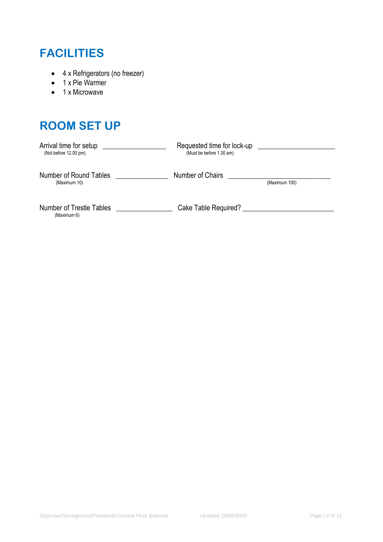# **FACILITIES**

- 4 x Refrigerators (no freezer)
- 1 x Pie Warmer
- 1 x Microwave

# **ROOM SET UP**

| Arrival time for setup          | Requested time for lock-up |               |
|---------------------------------|----------------------------|---------------|
| (Not before 12.00 pm)           | (Must be before 1.30 am)   |               |
|                                 |                            |               |
| Number of Round Tables          | Number of Chairs           |               |
| (Maximum 10)                    |                            | (Maximum 100) |
|                                 |                            |               |
| <b>Number of Trestle Tables</b> | Cake Table Required?       |               |
| (Maximum 6)                     |                            |               |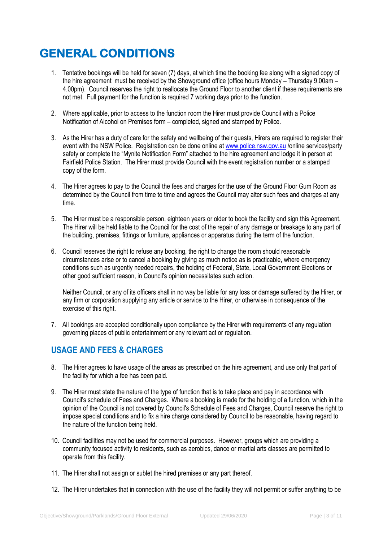# **GENERAL CONDITIONS**

- 1. Tentative bookings will be held for seven (7) days, at which time the booking fee along with a signed copy of the hire agreement must be received by the Showground office (office hours Monday – Thursday 9.00am – 4.00pm). Council reserves the right to reallocate the Ground Floor to another client if these requirements are not met. Full payment for the function is required 7 working days prior to the function.
- 2. Where applicable, prior to access to the function room the Hirer must provide Council with a Police Notification of Alcohol on Premises form – completed, signed and stamped by Police.
- 3. As the Hirer has a duty of care for the safety and wellbeing of their guests, Hirers are required to register their event with the NSW Police. Registration can be done online a[t www.police.nsw.gov.au](http://www.police.nsw.gov.au/) /online services/party safety or complete the "Mynite Notification Form" attached to the hire agreement and lodge it in person at Fairfield Police Station. The Hirer must provide Council with the event registration number or a stamped copy of the form.
- 4. The Hirer agrees to pay to the Council the fees and charges for the use of the Ground Floor Gum Room as determined by the Council from time to time and agrees the Council may alter such fees and charges at any time.
- 5. The Hirer must be a responsible person, eighteen years or older to book the facility and sign this Agreement. The Hirer will be held liable to the Council for the cost of the repair of any damage or breakage to any part of the building, premises, fittings or furniture, appliances or apparatus during the term of the function.
- 6. Council reserves the right to refuse any booking, the right to change the room should reasonable circumstances arise or to cancel a booking by giving as much notice as is practicable, where emergency conditions such as urgently needed repairs, the holding of Federal, State, Local Government Elections or other good sufficient reason, in Council's opinion necessitates such action.

Neither Council, or any of its officers shall in no way be liable for any loss or damage suffered by the Hirer, or any firm or corporation supplying any article or service to the Hirer, or otherwise in consequence of the exercise of this right.

7. All bookings are accepted conditionally upon compliance by the Hirer with requirements of any regulation governing places of public entertainment or any relevant act or regulation.

# **USAGE AND FEES & CHARGES**

- 8. The Hirer agrees to have usage of the areas as prescribed on the hire agreement, and use only that part of the facility for which a fee has been paid.
- 9. The Hirer must state the nature of the type of function that is to take place and pay in accordance with Council's schedule of Fees and Charges. Where a booking is made for the holding of a function, which in the opinion of the Council is not covered by Council's Schedule of Fees and Charges, Council reserve the right to impose special conditions and to fix a hire charge considered by Council to be reasonable, having regard to the nature of the function being held.
- 10. Council facilities may not be used for commercial purposes. However, groups which are providing a community focused activity to residents, such as aerobics, dance or martial arts classes are permitted to operate from this facility.
- 11. The Hirer shall not assign or sublet the hired premises or any part thereof.
- 12. The Hirer undertakes that in connection with the use of the facility they will not permit or suffer anything to be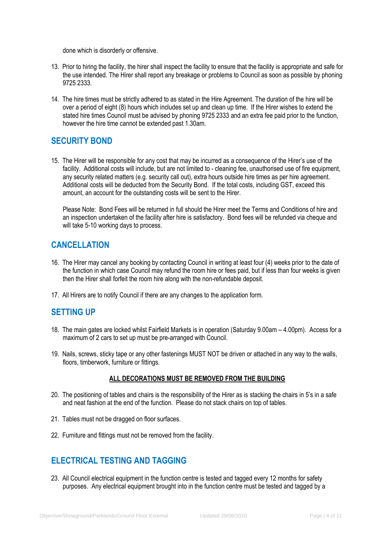done which is disorderly or offensive.

- 13. Prior to hiring the facility, the hirer shall inspect the facility to ensure that the facility is appropriate and safe for the use intended. The Hirer shall report any breakage or problems to Council as soon as possible by phoning 9725 2333.
- 14. The hire times must be strictly adhered to as stated in the Hire Agreement. The duration of the hire will be over a period of eight (8) hours which includes set up and clean up time. If the Hirer wishes to extend the stated hire times Council must be advised by phoning 9725 2333 and an extra fee paid prior to the function, however the hire time cannot be extended past 1.30am.

## **SECURITY BOND**

15. The Hirer will be responsible for any cost that may be incurred as a consequence of the Hirer's use of the facility. Additional costs will include, but are not limited to - cleaning fee, unauthorised use of fire equipment, any security related matters (e.g. security call out), extra hours outside hire times as per hire agreement. Additional costs will be deducted from the Security Bond. If the total costs, including GST, exceed this amount, an account for the outstanding costs will be sent to the Hirer.

Please Note: Bond Fees will be returned in full should the Hirer meet the Terms and Conditions of hire and an inspection undertaken of the facility after hire is satisfactory. Bond fees will be refunded via cheque and will take 5-10 working days to process.

## **CANCELLATION**

- 16. The Hirer may cancel any booking by contacting Council in writing at least four (4) weeks prior to the date of the function in which case Council may refund the room hire or fees paid, but if less than four weeks is given then the Hirer shall forfeit the room hire along with the non-refundable deposit.
- 17. All Hirers are to notify Council if there are any changes to the application form.

# **SETTING UP**

- 18. The main gates are locked whilst Fairfield Markets is in operation (Saturday 9.00am 4.00pm). Access for a maximum of 2 cars to set up must be pre-arranged with Council.
- 19. Nails, screws, sticky tape or any other fastenings MUST NOT be driven or attached in any way to the walls, floors, timberwork, furniture or fittings.

#### **ALL DECORATIONS MUST BE REMOVED FROM THE BUILDING**

- 20. The positioning of tables and chairs is the responsibility of the Hirer as is stacking the chairs in 5's in a safe and neat fashion at the end of the function. Please do not stack chairs on top of tables.
- 21. Tables must not be dragged on floor surfaces.
- 22. Furniture and fittings must not be removed from the facility.

# **ELECTRICAL TESTING AND TAGGING**

23. All Council electrical equipment in the function centre is tested and tagged every 12 months for safety purposes. Any electrical equipment brought into in the function centre must be tested and tagged by a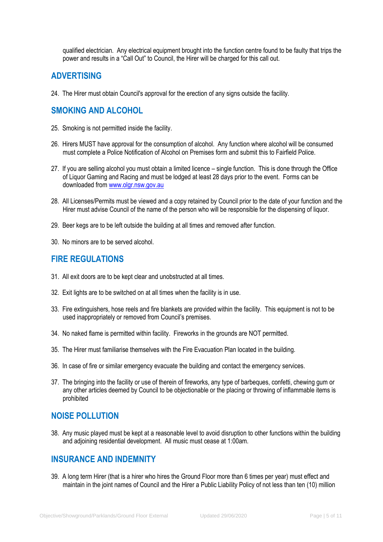qualified electrician. Any electrical equipment brought into the function centre found to be faulty that trips the power and results in a "Call Out" to Council, the Hirer will be charged for this call out.

#### **ADVERTISING**

24. The Hirer must obtain Council's approval for the erection of any signs outside the facility.

## **SMOKING AND ALCOHOL**

- 25. Smoking is not permitted inside the facility.
- 26. Hirers MUST have approval for the consumption of alcohol. Any function where alcohol will be consumed must complete a Police Notification of Alcohol on Premises form and submit this to Fairfield Police.
- 27. If you are selling alcohol you must obtain a limited licence single function. This is done through the Office of Liquor Gaming and Racing and must be lodged at least 28 days prior to the event. Forms can be downloaded from [www.olgr.nsw.gov.au](http://www.olgr.nsw.gov.au/)
- 28. All Licenses/Permits must be viewed and a copy retained by Council prior to the date of your function and the Hirer must advise Council of the name of the person who will be responsible for the dispensing of liquor.
- 29. Beer kegs are to be left outside the building at all times and removed after function.
- 30. No minors are to be served alcohol.

#### **FIRE REGULATIONS**

- 31. All exit doors are to be kept clear and unobstructed at all times.
- 32. Exit lights are to be switched on at all times when the facility is in use.
- 33. Fire extinguishers, hose reels and fire blankets are provided within the facility. This equipment is not to be used inappropriately or removed from Council's premises.
- 34. No naked flame is permitted within facility. Fireworks in the grounds are NOT permitted.
- 35. The Hirer must familiarise themselves with the Fire Evacuation Plan located in the building.
- 36. In case of fire or similar emergency evacuate the building and contact the emergency services.
- 37. The bringing into the facility or use of therein of fireworks, any type of barbeques, confetti, chewing gum or any other articles deemed by Council to be objectionable or the placing or throwing of inflammable items is prohibited

#### **NOISE POLLUTION**

38. Any music played must be kept at a reasonable level to avoid disruption to other functions within the building and adjoining residential development. All music must cease at 1:00am.

#### **INSURANCE AND INDEMNITY**

39. A long term Hirer (that is a hirer who hires the Ground Floor more than 6 times per year) must effect and maintain in the joint names of Council and the Hirer a Public Liability Policy of not less than ten (10) million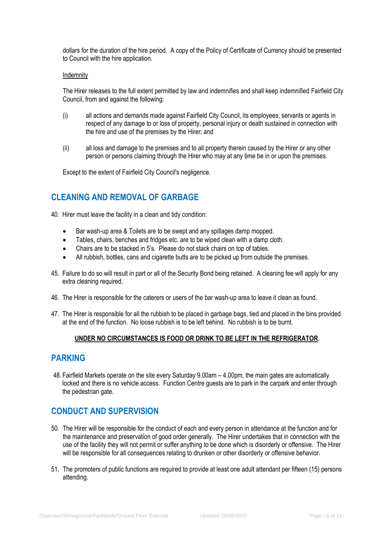dollars for the duration of the hire period. A copy of the Policy of Certificate of Currency should be presented to Council with the hire application.

#### Indemnity

The Hirer releases to the full extent permitted by law and indemnifies and shall keep indemnified Fairfield City Council, from and against the following:

- (i) all actions and demands made against Fairfield City Council, its employees, servants or agents in respect of any damage to or loss of property, personal injury or death sustained in connection with the hire and use of the premises by the Hirer; and
- (ii) all loss and damage to the premises and to all property therein caused by the Hirer or any other person or persons claiming through the Hirer who may at any time be in or upon the premises.

Except to the extent of Fairfield City Council's negligence.

### **CLEANING AND REMOVAL OF GARBAGE**

40. Hirer must leave the facility in a clean and tidy condition:

- Bar wash-up area & Toilets are to be swept and any spillages damp mopped.
- Tables, chairs, benches and fridges etc. are to be wiped clean with a damp cloth.
- Chairs are to be stacked in 5's. Please do not stack chairs on top of tables.
- All rubbish, bottles, cans and cigarette butts are to be picked up from outside the premises.
- 45. Failure to do so will result in part or all of the Security Bond being retained. A cleaning fee will apply for any extra cleaning required.
- 46. The Hirer is responsible for the caterers or users of the bar wash-up area to leave it clean as found.
- 47. The Hirer is responsible for all the rubbish to be placed in garbage bags, tied and placed in the bins provided at the end of the function. No loose rubbish is to be left behind. No rubbish is to be burnt.

#### **UNDER NO CIRCUMSTANCES IS FOOD OR DRINK TO BE LEFT IN THE REFRIGERATOR**.

#### **PARKING**

48. Fairfield Markets operate on the site every Saturday 9.00am – 4.00pm, the main gates are automatically locked and there is no vehicle access. Function Centre guests are to park in the carpark and enter through the pedestrian gate.

### **CONDUCT AND SUPERVISION**

- 50. The Hirer will be responsible for the conduct of each and every person in attendance at the function and for the maintenance and preservation of good order generally. The Hirer undertakes that in connection with the use of the facility they will not permit or suffer anything to be done which is disorderly or offensive. The Hirer will be responsible for all consequences relating to drunken or other disorderly or offensive behavior.
- 51. The promoters of public functions are required to provide at least one adult attendant per fifteen (15) persons attending.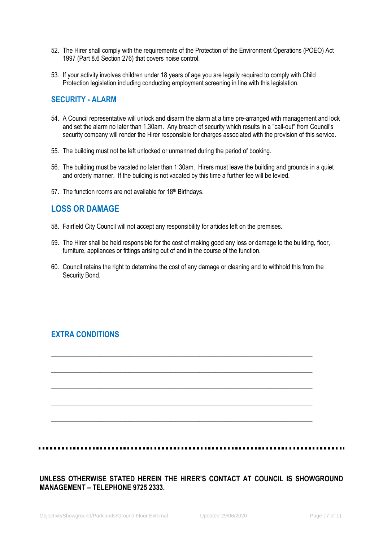- 52. The Hirer shall comply with the requirements of the Protection of the Environment Operations (POEO) Act 1997 (Part 8.6 Section 276) that covers noise control.
- 53. If your activity involves children under 18 years of age you are legally required to comply with Child Protection legislation including conducting employment screening in line with this legislation.

#### **SECURITY - ALARM**

- 54. A Council representative will unlock and disarm the alarm at a time pre-arranged with management and lock and set the alarm no later than 1.30am. Any breach of security which results in a "call-out" from Council's security company will render the Hirer responsible for charges associated with the provision of this service.
- 55. The building must not be left unlocked or unmanned during the period of booking.
- 56. The building must be vacated no later than 1:30am. Hirers must leave the building and grounds in a quiet and orderly manner. If the building is not vacated by this time a further fee will be levied.
- 57. The function rooms are not available for 18<sup>th</sup> Birthdays.

### **LOSS OR DAMAGE**

- 58. Fairfield City Council will not accept any responsibility for articles left on the premises.
- 59. The Hirer shall be held responsible for the cost of making good any loss or damage to the building, floor, furniture, appliances or fittings arising out of and in the course of the function.
- 60. Council retains the right to determine the cost of any damage or cleaning and to withhold this from the Security Bond.

\_\_\_\_\_\_\_\_\_\_\_\_\_\_\_\_\_\_\_\_\_\_\_\_\_\_\_\_\_\_\_\_\_\_\_\_\_\_\_\_\_\_\_\_\_\_\_\_\_\_\_\_\_\_\_\_\_\_\_\_\_\_\_\_\_\_\_\_\_\_\_\_\_\_\_\_\_\_\_\_\_

\_\_\_\_\_\_\_\_\_\_\_\_\_\_\_\_\_\_\_\_\_\_\_\_\_\_\_\_\_\_\_\_\_\_\_\_\_\_\_\_\_\_\_\_\_\_\_\_\_\_\_\_\_\_\_\_\_\_\_\_\_\_\_\_\_\_\_\_\_\_\_\_\_\_\_\_\_\_\_\_\_

\_\_\_\_\_\_\_\_\_\_\_\_\_\_\_\_\_\_\_\_\_\_\_\_\_\_\_\_\_\_\_\_\_\_\_\_\_\_\_\_\_\_\_\_\_\_\_\_\_\_\_\_\_\_\_\_\_\_\_\_\_\_\_\_\_\_\_\_\_\_\_\_\_\_\_\_\_\_\_\_\_

\_\_\_\_\_\_\_\_\_\_\_\_\_\_\_\_\_\_\_\_\_\_\_\_\_\_\_\_\_\_\_\_\_\_\_\_\_\_\_\_\_\_\_\_\_\_\_\_\_\_\_\_\_\_\_\_\_\_\_\_\_\_\_\_\_\_\_\_\_\_\_\_\_\_\_\_\_\_\_\_\_

\_\_\_\_\_\_\_\_\_\_\_\_\_\_\_\_\_\_\_\_\_\_\_\_\_\_\_\_\_\_\_\_\_\_\_\_\_\_\_\_\_\_\_\_\_\_\_\_\_\_\_\_\_\_\_\_\_\_\_\_\_\_\_\_\_\_\_\_\_\_\_\_\_\_\_\_\_\_\_\_\_

### **EXTRA CONDITIONS**

**UNLESS OTHERWISE STATED HEREIN THE HIRER'S CONTACT AT COUNCIL IS SHOWGROUND MANAGEMENT – TELEPHONE 9725 2333.**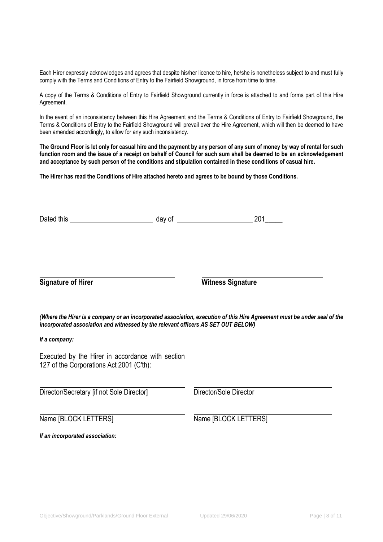Each Hirer expressly acknowledges and agrees that despite his/her licence to hire, he/she is nonetheless subject to and must fully comply with the Terms and Conditions of Entry to the Fairfield Showground, in force from time to time.

A copy of the Terms & Conditions of Entry to Fairfield Showground currently in force is attached to and forms part of this Hire Agreement.

In the event of an inconsistency between this Hire Agreement and the Terms & Conditions of Entry to Fairfield Showground, the Terms & Conditions of Entry to the Fairfield Showground will prevail over the Hire Agreement, which will then be deemed to have been amended accordingly, to allow for any such inconsistency.

**The Ground Floor is let only for casual hire and the payment by any person of any sum of money by way of rental for such function room and the issue of a receipt on behalf of Council for such sum shall be deemed to be an acknowledgement and acceptance by such person of the conditions and stipulation contained in these conditions of casual hire.**

**The Hirer has read the Conditions of Hire attached hereto and agrees to be bound by those Conditions.**

| Dated this                                                                                   | 201<br>day of $\overline{a}$                                                                                             |
|----------------------------------------------------------------------------------------------|--------------------------------------------------------------------------------------------------------------------------|
|                                                                                              |                                                                                                                          |
| <b>Signature of Hirer</b>                                                                    | <b>Witness Signature</b>                                                                                                 |
| incorporated association and witnessed by the relevant officers AS SET OUT BELOW)            | (Where the Hirer is a company or an incorporated association, execution of this Hire Agreement must be under seal of the |
| If a company:                                                                                |                                                                                                                          |
| Executed by the Hirer in accordance with section<br>127 of the Corporations Act 2001 (C'th): |                                                                                                                          |
| Director/Secretary [if not Sole Director]                                                    | Director/Sole Director                                                                                                   |
| Name [BLOCK LETTERS]                                                                         | Name [BLOCK LETTERS]                                                                                                     |
| If an incorporated association:                                                              |                                                                                                                          |
|                                                                                              |                                                                                                                          |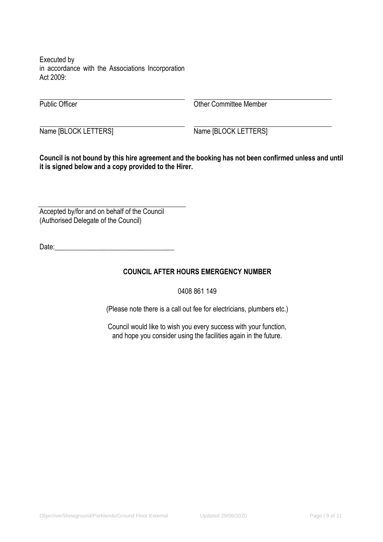Executed by in accordance with the Associations Incorporation Act 2009:

Public Officer **Dublic Officer** Committee Member

Name [BLOCK LETTERS] Name [BLOCK LETTERS]

**Council is not bound by this hire agreement and the booking has not been confirmed unless and until it is signed below and a copy provided to the Hirer.**

Accepted by/for and on behalf of the Council (Authorised Delegate of the Council)

Date:

#### **COUNCIL AFTER HOURS EMERGENCY NUMBER**

0408 861 149

(Please note there is a call out fee for electricians, plumbers etc.)

Council would like to wish you every success with your function, and hope you consider using the facilities again in the future.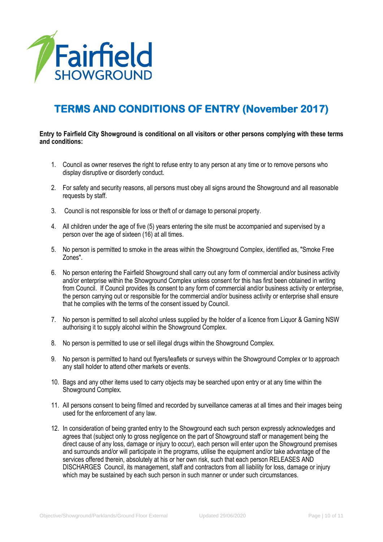

# **TERMS AND CONDITIONS OF ENTRY (November 2017)**

#### **Entry to Fairfield City Showground is conditional on all visitors or other persons complying with these terms and conditions:**

- 1. Council as owner reserves the right to refuse entry to any person at any time or to remove persons who display disruptive or disorderly conduct.
- 2. For safety and security reasons, all persons must obey all signs around the Showground and all reasonable requests by staff.
- 3. Council is not responsible for loss or theft of or damage to personal property.
- 4. All children under the age of five (5) years entering the site must be accompanied and supervised by a person over the age of sixteen (16) at all times.
- 5. No person is permitted to smoke in the areas within the Showground Complex, identified as, "Smoke Free Zones".
- 6. No person entering the Fairfield Showground shall carry out any form of commercial and/or business activity and/or enterprise within the Showground Complex unless consent for this has first been obtained in writing from Council. If Council provides its consent to any form of commercial and/or business activity or enterprise, the person carrying out or responsible for the commercial and/or business activity or enterprise shall ensure that he complies with the terms of the consent issued by Council.
- 7. No person is permitted to sell alcohol unless supplied by the holder of a licence from Liquor & Gaming NSW authorising it to supply alcohol within the Showground Complex.
- 8. No person is permitted to use or sell illegal drugs within the Showground Complex.
- 9. No person is permitted to hand out flyers/leaflets or surveys within the Showground Complex or to approach any stall holder to attend other markets or events.
- 10. Bags and any other items used to carry objects may be searched upon entry or at any time within the Showground Complex.
- 11. All persons consent to being filmed and recorded by surveillance cameras at all times and their images being used for the enforcement of any law.
- 12. In consideration of being granted entry to the Showground each such person expressly acknowledges and agrees that (subject only to gross negligence on the part of Showground staff or management being the direct cause of any loss, damage or injury to occur), each person will enter upon the Showground premises and surrounds and/or will participate in the programs, utilise the equipment and/or take advantage of the services offered therein, absolutely at his or her own risk, such that each person RELEASES AND DISCHARGES Council, its management, staff and contractors from all liability for loss, damage or injury which may be sustained by each such person in such manner or under such circumstances.